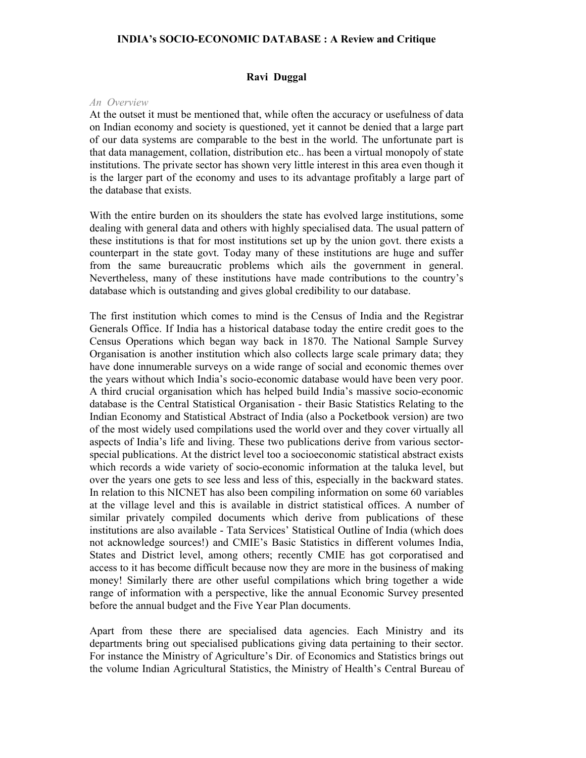## **INDIA's SOCIO-ECONOMIC DATABASE : A Review and Critique**

### **Ravi Duggal**

#### *An Overview*

At the outset it must be mentioned that, while often the accuracy or usefulness of data on Indian economy and society is questioned, yet it cannot be denied that a large part of our data systems are comparable to the best in the world. The unfortunate part is that data management, collation, distribution etc.. has been a virtual monopoly of state institutions. The private sector has shown very little interest in this area even though it is the larger part of the economy and uses to its advantage profitably a large part of the database that exists.

With the entire burden on its shoulders the state has evolved large institutions, some dealing with general data and others with highly specialised data. The usual pattern of these institutions is that for most institutions set up by the union govt. there exists a counterpart in the state govt. Today many of these institutions are huge and suffer from the same bureaucratic problems which ails the government in general. Nevertheless, many of these institutions have made contributions to the country's database which is outstanding and gives global credibility to our database.

The first institution which comes to mind is the Census of India and the Registrar Generals Office. If India has a historical database today the entire credit goes to the Census Operations which began way back in 1870. The National Sample Survey Organisation is another institution which also collects large scale primary data; they have done innumerable surveys on a wide range of social and economic themes over the years without which India's socio-economic database would have been very poor. A third crucial organisation which has helped build India's massive socio-economic database is the Central Statistical Organisation - their Basic Statistics Relating to the Indian Economy and Statistical Abstract of India (also a Pocketbook version) are two of the most widely used compilations used the world over and they cover virtually all aspects of India's life and living. These two publications derive from various sectorspecial publications. At the district level too a socioeconomic statistical abstract exists which records a wide variety of socio-economic information at the taluka level, but over the years one gets to see less and less of this, especially in the backward states. In relation to this NICNET has also been compiling information on some 60 variables at the village level and this is available in district statistical offices. A number of similar privately compiled documents which derive from publications of these institutions are also available - Tata Services' Statistical Outline of India (which does not acknowledge sources!) and CMIE's Basic Statistics in different volumes India, States and District level, among others; recently CMIE has got corporatised and access to it has become difficult because now they are more in the business of making money! Similarly there are other useful compilations which bring together a wide range of information with a perspective, like the annual Economic Survey presented before the annual budget and the Five Year Plan documents.

Apart from these there are specialised data agencies. Each Ministry and its departments bring out specialised publications giving data pertaining to their sector. For instance the Ministry of Agriculture's Dir. of Economics and Statistics brings out the volume Indian Agricultural Statistics, the Ministry of Health's Central Bureau of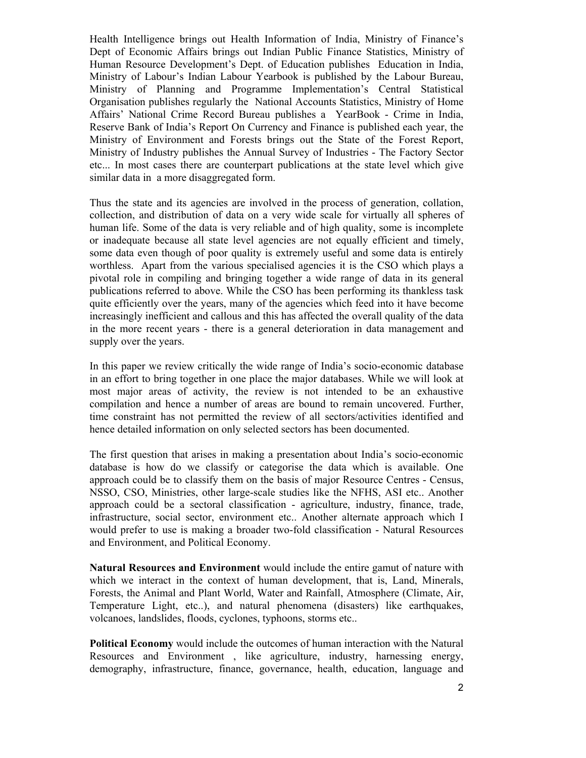Health Intelligence brings out Health Information of India, Ministry of Finance's Dept of Economic Affairs brings out Indian Public Finance Statistics, Ministry of Human Resource Development's Dept. of Education publishes Education in India, Ministry of Labour's Indian Labour Yearbook is published by the Labour Bureau, Ministry of Planning and Programme Implementation's Central Statistical Organisation publishes regularly the National Accounts Statistics, Ministry of Home Affairs' National Crime Record Bureau publishes a YearBook - Crime in India, Reserve Bank of India's Report On Currency and Finance is published each year, the Ministry of Environment and Forests brings out the State of the Forest Report, Ministry of Industry publishes the Annual Survey of Industries - The Factory Sector etc... In most cases there are counterpart publications at the state level which give similar data in a more disaggregated form.

Thus the state and its agencies are involved in the process of generation, collation, collection, and distribution of data on a very wide scale for virtually all spheres of human life. Some of the data is very reliable and of high quality, some is incomplete or inadequate because all state level agencies are not equally efficient and timely, some data even though of poor quality is extremely useful and some data is entirely worthless. Apart from the various specialised agencies it is the CSO which plays a pivotal role in compiling and bringing together a wide range of data in its general publications referred to above. While the CSO has been performing its thankless task quite efficiently over the years, many of the agencies which feed into it have become increasingly inefficient and callous and this has affected the overall quality of the data in the more recent years - there is a general deterioration in data management and supply over the years.

In this paper we review critically the wide range of India's socio-economic database in an effort to bring together in one place the major databases. While we will look at most major areas of activity, the review is not intended to be an exhaustive compilation and hence a number of areas are bound to remain uncovered. Further, time constraint has not permitted the review of all sectors/activities identified and hence detailed information on only selected sectors has been documented.

The first question that arises in making a presentation about India's socio-economic database is how do we classify or categorise the data which is available. One approach could be to classify them on the basis of major Resource Centres - Census, NSSO, CSO, Ministries, other large-scale studies like the NFHS, ASI etc.. Another approach could be a sectoral classification - agriculture, industry, finance, trade, infrastructure, social sector, environment etc.. Another alternate approach which I would prefer to use is making a broader two-fold classification - Natural Resources and Environment, and Political Economy.

**Natural Resources and Environment** would include the entire gamut of nature with which we interact in the context of human development, that is, Land, Minerals, Forests, the Animal and Plant World, Water and Rainfall, Atmosphere (Climate, Air, Temperature Light, etc..), and natural phenomena (disasters) like earthquakes, volcanoes, landslides, floods, cyclones, typhoons, storms etc..

**Political Economy** would include the outcomes of human interaction with the Natural Resources and Environment , like agriculture, industry, harnessing energy, demography, infrastructure, finance, governance, health, education, language and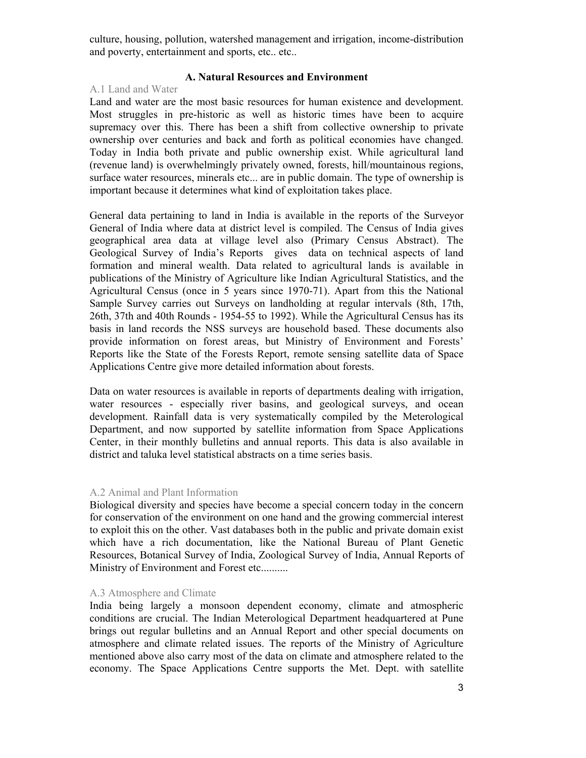culture, housing, pollution, watershed management and irrigation, income-distribution and poverty, entertainment and sports, etc.. etc..

# **A. Natural Resources and Environment**

## A.1 Land and Water

Land and water are the most basic resources for human existence and development. Most struggles in pre-historic as well as historic times have been to acquire supremacy over this. There has been a shift from collective ownership to private ownership over centuries and back and forth as political economies have changed. Today in India both private and public ownership exist. While agricultural land (revenue land) is overwhelmingly privately owned, forests, hill/mountainous regions, surface water resources, minerals etc... are in public domain. The type of ownership is important because it determines what kind of exploitation takes place.

General data pertaining to land in India is available in the reports of the Surveyor General of India where data at district level is compiled. The Census of India gives geographical area data at village level also (Primary Census Abstract). The Geological Survey of India's Reports gives data on technical aspects of land formation and mineral wealth. Data related to agricultural lands is available in publications of the Ministry of Agriculture like Indian Agricultural Statistics, and the Agricultural Census (once in 5 years since 1970-71). Apart from this the National Sample Survey carries out Surveys on landholding at regular intervals (8th, 17th, 26th, 37th and 40th Rounds - 1954-55 to 1992). While the Agricultural Census has its basis in land records the NSS surveys are household based. These documents also provide information on forest areas, but Ministry of Environment and Forests' Reports like the State of the Forests Report, remote sensing satellite data of Space Applications Centre give more detailed information about forests.

Data on water resources is available in reports of departments dealing with irrigation, water resources - especially river basins, and geological surveys, and ocean development. Rainfall data is very systematically compiled by the Meterological Department, and now supported by satellite information from Space Applications Center, in their monthly bulletins and annual reports. This data is also available in district and taluka level statistical abstracts on a time series basis.

## A.2 Animal and Plant Information

Biological diversity and species have become a special concern today in the concern for conservation of the environment on one hand and the growing commercial interest to exploit this on the other. Vast databases both in the public and private domain exist which have a rich documentation, like the National Bureau of Plant Genetic Resources, Botanical Survey of India, Zoological Survey of India, Annual Reports of Ministry of Environment and Forest etc..........

### A.3 Atmosphere and Climate

India being largely a monsoon dependent economy, climate and atmospheric conditions are crucial. The Indian Meterological Department headquartered at Pune brings out regular bulletins and an Annual Report and other special documents on atmosphere and climate related issues. The reports of the Ministry of Agriculture mentioned above also carry most of the data on climate and atmosphere related to the economy. The Space Applications Centre supports the Met. Dept. with satellite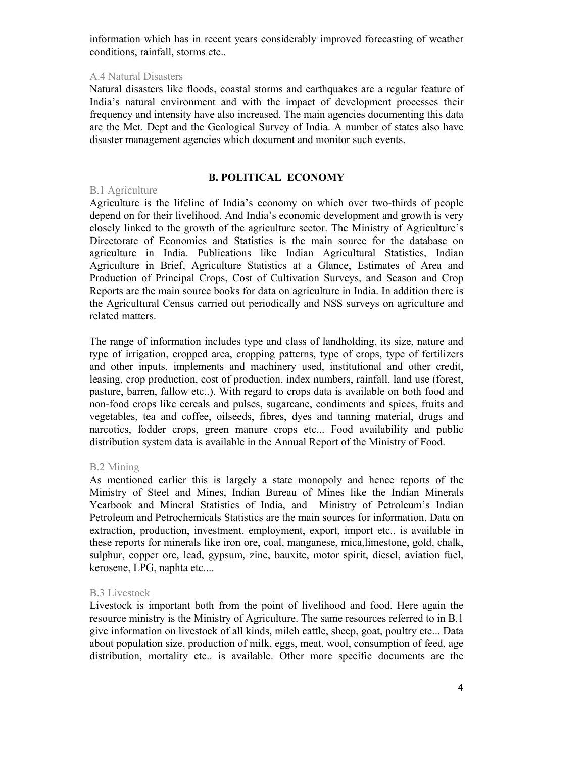information which has in recent years considerably improved forecasting of weather conditions, rainfall, storms etc..

## A.4 Natural Disasters

Natural disasters like floods, coastal storms and earthquakes are a regular feature of India's natural environment and with the impact of development processes their frequency and intensity have also increased. The main agencies documenting this data are the Met. Dept and the Geological Survey of India. A number of states also have disaster management agencies which document and monitor such events.

# **B. POLITICAL ECONOMY**

# B.1 Agriculture

Agriculture is the lifeline of India's economy on which over two-thirds of people depend on for their livelihood. And India's economic development and growth is very closely linked to the growth of the agriculture sector. The Ministry of Agriculture's Directorate of Economics and Statistics is the main source for the database on agriculture in India. Publications like Indian Agricultural Statistics, Indian Agriculture in Brief, Agriculture Statistics at a Glance, Estimates of Area and Production of Principal Crops, Cost of Cultivation Surveys, and Season and Crop Reports are the main source books for data on agriculture in India. In addition there is the Agricultural Census carried out periodically and NSS surveys on agriculture and related matters.

The range of information includes type and class of landholding, its size, nature and type of irrigation, cropped area, cropping patterns, type of crops, type of fertilizers and other inputs, implements and machinery used, institutional and other credit, leasing, crop production, cost of production, index numbers, rainfall, land use (forest, pasture, barren, fallow etc..). With regard to crops data is available on both food and non-food crops like cereals and pulses, sugarcane, condiments and spices, fruits and vegetables, tea and coffee, oilseeds, fibres, dyes and tanning material, drugs and narcotics, fodder crops, green manure crops etc... Food availability and public distribution system data is available in the Annual Report of the Ministry of Food.

## B.2 Mining

As mentioned earlier this is largely a state monopoly and hence reports of the Ministry of Steel and Mines, Indian Bureau of Mines like the Indian Minerals Yearbook and Mineral Statistics of India, and Ministry of Petroleum's Indian Petroleum and Petrochemicals Statistics are the main sources for information. Data on extraction, production, investment, employment, export, import etc.. is available in these reports for minerals like iron ore, coal, manganese, mica,limestone, gold, chalk, sulphur, copper ore, lead, gypsum, zinc, bauxite, motor spirit, diesel, aviation fuel, kerosene, LPG, naphta etc....

## B.3 Livestock

Livestock is important both from the point of livelihood and food. Here again the resource ministry is the Ministry of Agriculture. The same resources referred to in B.1 give information on livestock of all kinds, milch cattle, sheep, goat, poultry etc... Data about population size, production of milk, eggs, meat, wool, consumption of feed, age distribution, mortality etc.. is available. Other more specific documents are the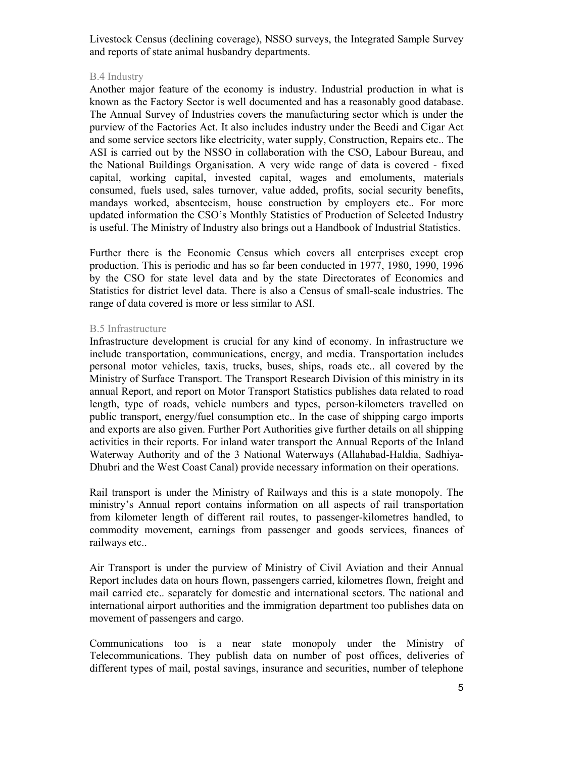Livestock Census (declining coverage), NSSO surveys, the Integrated Sample Survey and reports of state animal husbandry departments.

## B.4 Industry

Another major feature of the economy is industry. Industrial production in what is known as the Factory Sector is well documented and has a reasonably good database. The Annual Survey of Industries covers the manufacturing sector which is under the purview of the Factories Act. It also includes industry under the Beedi and Cigar Act and some service sectors like electricity, water supply, Construction, Repairs etc.. The ASI is carried out by the NSSO in collaboration with the CSO, Labour Bureau, and the National Buildings Organisation. A very wide range of data is covered - fixed capital, working capital, invested capital, wages and emoluments, materials consumed, fuels used, sales turnover, value added, profits, social security benefits, mandays worked, absenteeism, house construction by employers etc.. For more updated information the CSO's Monthly Statistics of Production of Selected Industry is useful. The Ministry of Industry also brings out a Handbook of Industrial Statistics.

Further there is the Economic Census which covers all enterprises except crop production. This is periodic and has so far been conducted in 1977, 1980, 1990, 1996 by the CSO for state level data and by the state Directorates of Economics and Statistics for district level data. There is also a Census of small-scale industries. The range of data covered is more or less similar to ASI.

# B.5 Infrastructure

Infrastructure development is crucial for any kind of economy. In infrastructure we include transportation, communications, energy, and media. Transportation includes personal motor vehicles, taxis, trucks, buses, ships, roads etc.. all covered by the Ministry of Surface Transport. The Transport Research Division of this ministry in its annual Report, and report on Motor Transport Statistics publishes data related to road length, type of roads, vehicle numbers and types, person-kilometers travelled on public transport, energy/fuel consumption etc.. In the case of shipping cargo imports and exports are also given. Further Port Authorities give further details on all shipping activities in their reports. For inland water transport the Annual Reports of the Inland Waterway Authority and of the 3 National Waterways (Allahabad-Haldia, Sadhiya-Dhubri and the West Coast Canal) provide necessary information on their operations.

Rail transport is under the Ministry of Railways and this is a state monopoly. The ministry's Annual report contains information on all aspects of rail transportation from kilometer length of different rail routes, to passenger-kilometres handled, to commodity movement, earnings from passenger and goods services, finances of railways etc..

Air Transport is under the purview of Ministry of Civil Aviation and their Annual Report includes data on hours flown, passengers carried, kilometres flown, freight and mail carried etc.. separately for domestic and international sectors. The national and international airport authorities and the immigration department too publishes data on movement of passengers and cargo.

Communications too is a near state monopoly under the Ministry of Telecommunications. They publish data on number of post offices, deliveries of different types of mail, postal savings, insurance and securities, number of telephone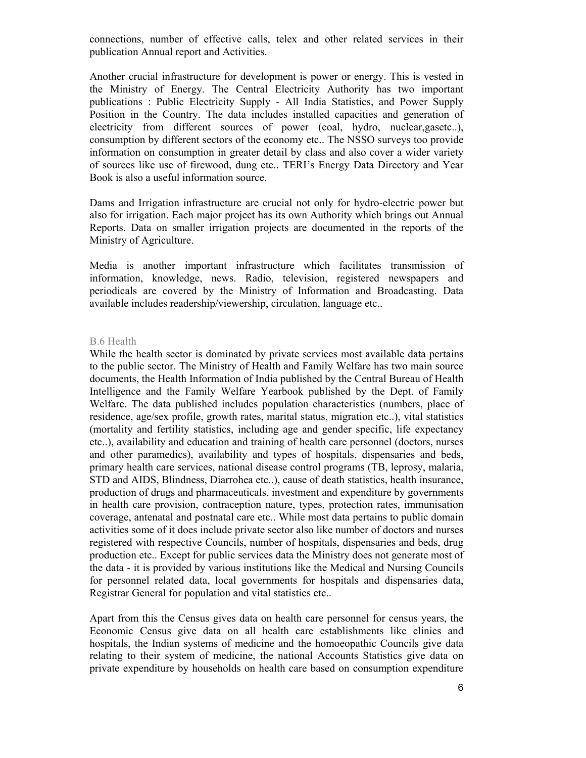connections, number of effective calls, telex and other related services in their publication Annual report and Activities.

Another crucial infrastructure for development is power or energy. This is vested in the Ministry of Energy. The Central Electricity Authority has two important publications : Public Electricity Supply - All India Statistics, and Power Supply Position in the Country. The data includes installed capacities and generation of electricity from different sources of power (coal, hydro, nuclear,gasetc..), consumption by different sectors of the economy etc.. The NSSO surveys too provide information on consumption in greater detail by class and also cover a wider variety of sources like use of firewood, dung etc.. TERI's Energy Data Directory and Year Book is also a useful information source.

Dams and Irrigation infrastructure are crucial not only for hydro-electric power but also for irrigation. Each major project has its own Authority which brings out Annual Reports. Data on smaller irrigation projects are documented in the reports of the Ministry of Agriculture.

Media is another important infrastructure which facilitates transmission of information, knowledge, news. Radio, television, registered newspapers and periodicals are covered by the Ministry of Information and Broadcasting. Data available includes readership/viewership, circulation, language etc..

#### B.6 Health

While the health sector is dominated by private services most available data pertains to the public sector. The Ministry of Health and Family Welfare has two main source documents, the Health Information of India published by the Central Bureau of Health Intelligence and the Family Welfare Yearbook published by the Dept. of Family Welfare. The data published includes population characteristics (numbers, place of residence, age/sex profile, growth rates, marital status, migration etc..), vital statistics (mortality and fertility statistics, including age and gender specific, life expectancy etc..), availability and education and training of health care personnel (doctors, nurses and other paramedics), availability and types of hospitals, dispensaries and beds, primary health care services, national disease control programs (TB, leprosy, malaria, STD and AIDS, Blindness, Diarrohea etc..), cause of death statistics, health insurance, production of drugs and pharmaceuticals, investment and expenditure by governments in health care provision, contraception nature, types, protection rates, immunisation coverage, antenatal and postnatal care etc.. While most data pertains to public domain activities some of it does include private sector also like number of doctors and nurses registered with respective Councils, number of hospitals, dispensaries and beds, drug production etc.. Except for public services data the Ministry does not generate most of the data - it is provided by various institutions like the Medical and Nursing Councils for personnel related data, local governments for hospitals and dispensaries data, Registrar General for population and vital statistics etc..

Apart from this the Census gives data on health care personnel for census years, the Economic Census give data on all health care establishments like clinics and hospitals, the Indian systems of medicine and the homoeopathic Councils give data relating to their system of medicine, the national Accounts Statistics give data on private expenditure by households on health care based on consumption expenditure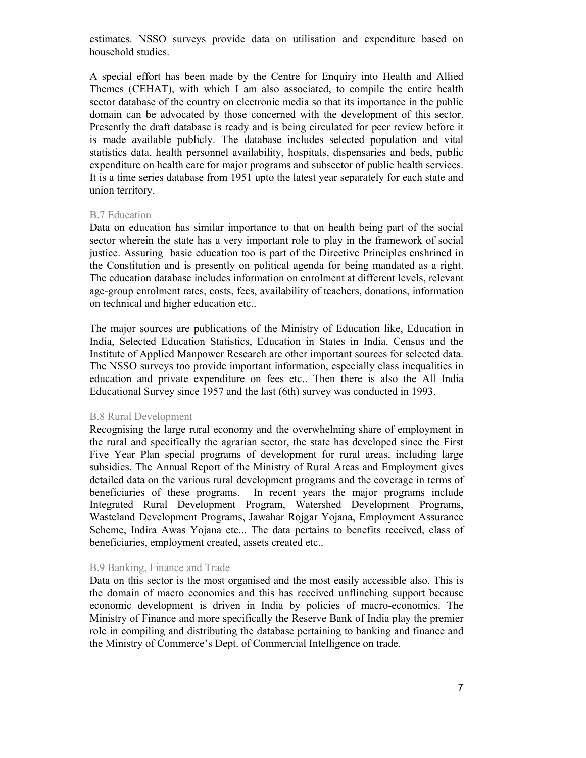estimates. NSSO surveys provide data on utilisation and expenditure based on household studies.

A special effort has been made by the Centre for Enquiry into Health and Allied Themes (CEHAT), with which I am also associated, to compile the entire health sector database of the country on electronic media so that its importance in the public domain can be advocated by those concerned with the development of this sector. Presently the draft database is ready and is being circulated for peer review before it is made available publicly. The database includes selected population and vital statistics data, health personnel availability, hospitals, dispensaries and beds, public expenditure on health care for major programs and subsector of public health services. It is a time series database from 1951 upto the latest year separately for each state and union territory.

### B.7 Education

Data on education has similar importance to that on health being part of the social sector wherein the state has a very important role to play in the framework of social justice. Assuring basic education too is part of the Directive Principles enshrined in the Constitution and is presently on political agenda for being mandated as a right. The education database includes information on enrolment at different levels, relevant age-group enrolment rates, costs, fees, availability of teachers, donations, information on technical and higher education etc..

The major sources are publications of the Ministry of Education like, Education in India, Selected Education Statistics, Education in States in India. Census and the Institute of Applied Manpower Research are other important sources for selected data. The NSSO surveys too provide important information, especially class inequalities in education and private expenditure on fees etc.. Then there is also the All India Educational Survey since 1957 and the last (6th) survey was conducted in 1993.

### B.8 Rural Development

Recognising the large rural economy and the overwhelming share of employment in the rural and specifically the agrarian sector, the state has developed since the First Five Year Plan special programs of development for rural areas, including large subsidies. The Annual Report of the Ministry of Rural Areas and Employment gives detailed data on the various rural development programs and the coverage in terms of beneficiaries of these programs. In recent years the major programs include Integrated Rural Development Program, Watershed Development Programs, Wasteland Development Programs, Jawahar Rojgar Yojana, Employment Assurance Scheme, Indira Awas Yojana etc... The data pertains to benefits received, class of beneficiaries, employment created, assets created etc..

### B.9 Banking, Finance and Trade

Data on this sector is the most organised and the most easily accessible also. This is the domain of macro economics and this has received unflinching support because economic development is driven in India by policies of macro-economics. The Ministry of Finance and more specifically the Reserve Bank of India play the premier role in compiling and distributing the database pertaining to banking and finance and the Ministry of Commerce's Dept. of Commercial Intelligence on trade.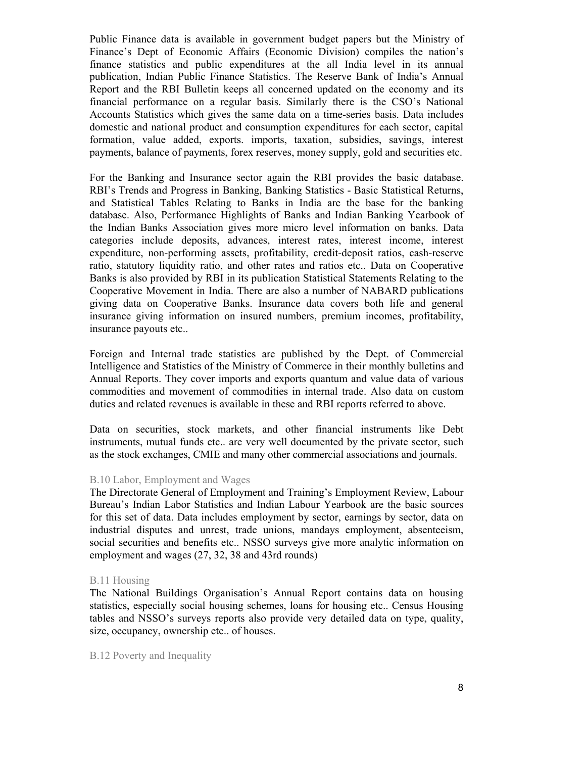Public Finance data is available in government budget papers but the Ministry of Finance's Dept of Economic Affairs (Economic Division) compiles the nation's finance statistics and public expenditures at the all India level in its annual publication, Indian Public Finance Statistics. The Reserve Bank of India's Annual Report and the RBI Bulletin keeps all concerned updated on the economy and its financial performance on a regular basis. Similarly there is the CSO's National Accounts Statistics which gives the same data on a time-series basis. Data includes domestic and national product and consumption expenditures for each sector, capital formation, value added, exports. imports, taxation, subsidies, savings, interest payments, balance of payments, forex reserves, money supply, gold and securities etc.

For the Banking and Insurance sector again the RBI provides the basic database. RBI's Trends and Progress in Banking, Banking Statistics - Basic Statistical Returns, and Statistical Tables Relating to Banks in India are the base for the banking database. Also, Performance Highlights of Banks and Indian Banking Yearbook of the Indian Banks Association gives more micro level information on banks. Data categories include deposits, advances, interest rates, interest income, interest expenditure, non-performing assets, profitability, credit-deposit ratios, cash-reserve ratio, statutory liquidity ratio, and other rates and ratios etc.. Data on Cooperative Banks is also provided by RBI in its publication Statistical Statements Relating to the Cooperative Movement in India. There are also a number of NABARD publications giving data on Cooperative Banks. Insurance data covers both life and general insurance giving information on insured numbers, premium incomes, profitability, insurance payouts etc..

Foreign and Internal trade statistics are published by the Dept. of Commercial Intelligence and Statistics of the Ministry of Commerce in their monthly bulletins and Annual Reports. They cover imports and exports quantum and value data of various commodities and movement of commodities in internal trade. Also data on custom duties and related revenues is available in these and RBI reports referred to above.

Data on securities, stock markets, and other financial instruments like Debt instruments, mutual funds etc.. are very well documented by the private sector, such as the stock exchanges, CMIE and many other commercial associations and journals.

### B.10 Labor, Employment and Wages

The Directorate General of Employment and Training's Employment Review, Labour Bureau's Indian Labor Statistics and Indian Labour Yearbook are the basic sources for this set of data. Data includes employment by sector, earnings by sector, data on industrial disputes and unrest, trade unions, mandays employment, absenteeism, social securities and benefits etc.. NSSO surveys give more analytic information on employment and wages (27, 32, 38 and 43rd rounds)

### B.11 Housing

The National Buildings Organisation's Annual Report contains data on housing statistics, especially social housing schemes, loans for housing etc.. Census Housing tables and NSSO's surveys reports also provide very detailed data on type, quality, size, occupancy, ownership etc.. of houses.

B.12 Poverty and Inequality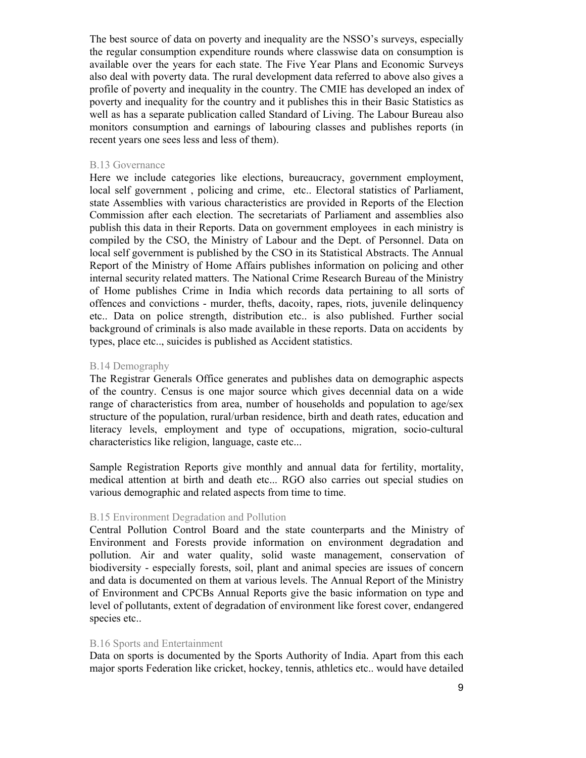The best source of data on poverty and inequality are the NSSO's surveys, especially the regular consumption expenditure rounds where classwise data on consumption is available over the years for each state. The Five Year Plans and Economic Surveys also deal with poverty data. The rural development data referred to above also gives a profile of poverty and inequality in the country. The CMIE has developed an index of poverty and inequality for the country and it publishes this in their Basic Statistics as well as has a separate publication called Standard of Living. The Labour Bureau also monitors consumption and earnings of labouring classes and publishes reports (in recent years one sees less and less of them).

### B.13 Governance

Here we include categories like elections, bureaucracy, government employment, local self government , policing and crime, etc.. Electoral statistics of Parliament, state Assemblies with various characteristics are provided in Reports of the Election Commission after each election. The secretariats of Parliament and assemblies also publish this data in their Reports. Data on government employees in each ministry is compiled by the CSO, the Ministry of Labour and the Dept. of Personnel. Data on local self government is published by the CSO in its Statistical Abstracts. The Annual Report of the Ministry of Home Affairs publishes information on policing and other internal security related matters. The National Crime Research Bureau of the Ministry of Home publishes Crime in India which records data pertaining to all sorts of offences and convictions - murder, thefts, dacoity, rapes, riots, juvenile delinquency etc.. Data on police strength, distribution etc.. is also published. Further social background of criminals is also made available in these reports. Data on accidents by types, place etc.., suicides is published as Accident statistics.

#### B.14 Demography

The Registrar Generals Office generates and publishes data on demographic aspects of the country. Census is one major source which gives decennial data on a wide range of characteristics from area, number of households and population to age/sex structure of the population, rural/urban residence, birth and death rates, education and literacy levels, employment and type of occupations, migration, socio-cultural characteristics like religion, language, caste etc...

Sample Registration Reports give monthly and annual data for fertility, mortality, medical attention at birth and death etc... RGO also carries out special studies on various demographic and related aspects from time to time.

### B.15 Environment Degradation and Pollution

Central Pollution Control Board and the state counterparts and the Ministry of Environment and Forests provide information on environment degradation and pollution. Air and water quality, solid waste management, conservation of biodiversity - especially forests, soil, plant and animal species are issues of concern and data is documented on them at various levels. The Annual Report of the Ministry of Environment and CPCBs Annual Reports give the basic information on type and level of pollutants, extent of degradation of environment like forest cover, endangered species etc..

### B.16 Sports and Entertainment

Data on sports is documented by the Sports Authority of India. Apart from this each major sports Federation like cricket, hockey, tennis, athletics etc.. would have detailed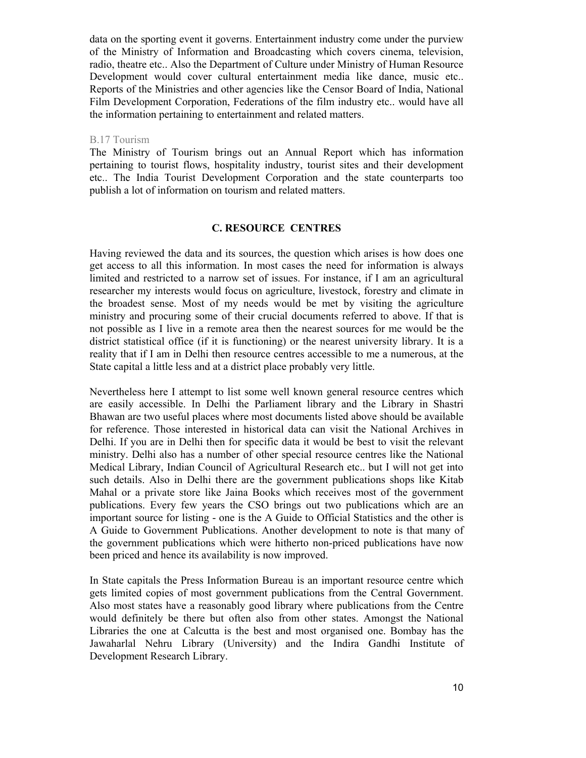data on the sporting event it governs. Entertainment industry come under the purview of the Ministry of Information and Broadcasting which covers cinema, television, radio, theatre etc.. Also the Department of Culture under Ministry of Human Resource Development would cover cultural entertainment media like dance, music etc.. Reports of the Ministries and other agencies like the Censor Board of India, National Film Development Corporation, Federations of the film industry etc.. would have all the information pertaining to entertainment and related matters.

## B.17 Tourism

The Ministry of Tourism brings out an Annual Report which has information pertaining to tourist flows, hospitality industry, tourist sites and their development etc.. The India Tourist Development Corporation and the state counterparts too publish a lot of information on tourism and related matters.

## **C. RESOURCE CENTRES**

Having reviewed the data and its sources, the question which arises is how does one get access to all this information. In most cases the need for information is always limited and restricted to a narrow set of issues. For instance, if I am an agricultural researcher my interests would focus on agriculture, livestock, forestry and climate in the broadest sense. Most of my needs would be met by visiting the agriculture ministry and procuring some of their crucial documents referred to above. If that is not possible as I live in a remote area then the nearest sources for me would be the district statistical office (if it is functioning) or the nearest university library. It is a reality that if I am in Delhi then resource centres accessible to me a numerous, at the State capital a little less and at a district place probably very little.

Nevertheless here I attempt to list some well known general resource centres which are easily accessible. In Delhi the Parliament library and the Library in Shastri Bhawan are two useful places where most documents listed above should be available for reference. Those interested in historical data can visit the National Archives in Delhi. If you are in Delhi then for specific data it would be best to visit the relevant ministry. Delhi also has a number of other special resource centres like the National Medical Library, Indian Council of Agricultural Research etc.. but I will not get into such details. Also in Delhi there are the government publications shops like Kitab Mahal or a private store like Jaina Books which receives most of the government publications. Every few years the CSO brings out two publications which are an important source for listing - one is the A Guide to Official Statistics and the other is A Guide to Government Publications. Another development to note is that many of the government publications which were hitherto non-priced publications have now been priced and hence its availability is now improved.

In State capitals the Press Information Bureau is an important resource centre which gets limited copies of most government publications from the Central Government. Also most states have a reasonably good library where publications from the Centre would definitely be there but often also from other states. Amongst the National Libraries the one at Calcutta is the best and most organised one. Bombay has the Jawaharlal Nehru Library (University) and the Indira Gandhi Institute of Development Research Library.